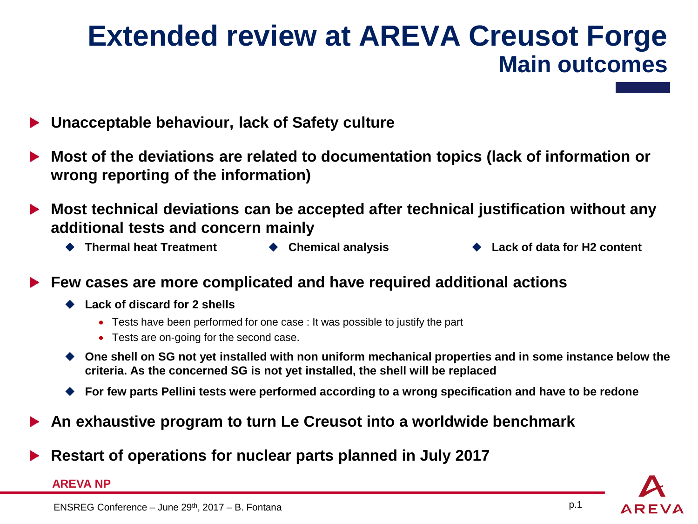## **Extended review at AREVA Creusot Forge Main outcomes**

- **Unacceptable behaviour, lack of Safety culture**  $\blacktriangleright$
- **Most of the deviations are related to documentation topics (lack of information or wrong reporting of the information)**
- **Most technical deviations can be accepted after technical justification without any**   $\blacktriangleright$ **additional tests and concern mainly**
	-
- 
- **Thermal heat Treatment Chemical analysis Lack of data for H2 content**
- **Few cases are more complicated and have required additional actions**  $\blacktriangleright$ 
	- **Lack of discard for 2 shells** 
		- Tests have been performed for one case : It was possible to justify the part
		- Tests are on-going for the second case.
	- ◆ One shell on SG not yet installed with non uniform mechanical properties and in some instance below the **criteria. As the concerned SG is not yet installed, the shell will be replaced**
	- **For few parts Pellini tests were performed according to a wrong specification and have to be redone**
- **An exhaustive program to turn Le Creusot into a worldwide benchmark**  $\blacktriangleright$
- **Restart of operations for nuclear parts planned in July 2017**

## **AREVA NP**